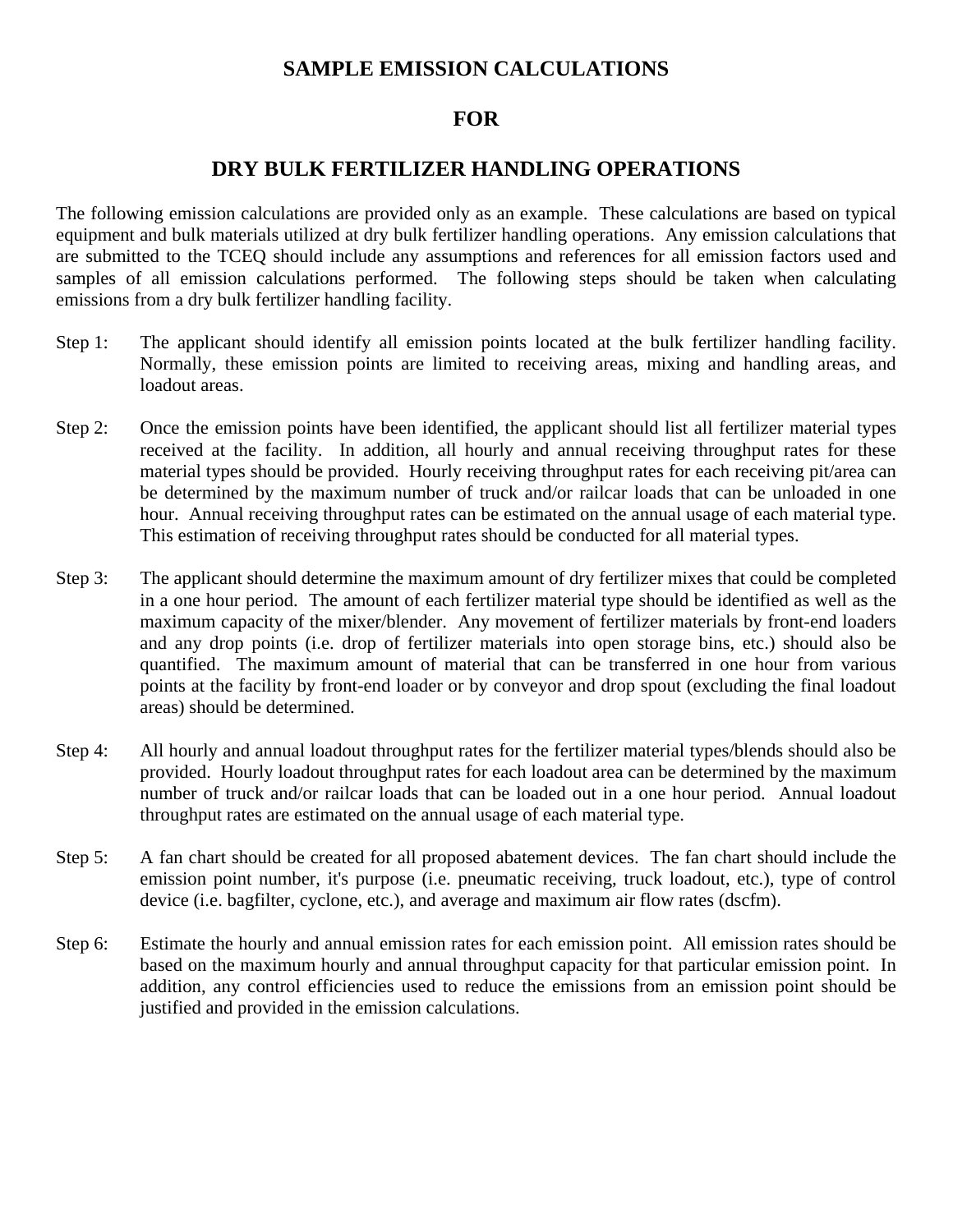# **SAMPLE EMISSION CALCULATIONS**

### **FOR**

# **DRY BULK FERTILIZER HANDLING OPERATIONS**

The following emission calculations are provided only as an example. These calculations are based on typical equipment and bulk materials utilized at dry bulk fertilizer handling operations. Any emission calculations that are submitted to the TCEQ should include any assumptions and references for all emission factors used and samples of all emission calculations performed. The following steps should be taken when calculating emissions from a dry bulk fertilizer handling facility.

- Step 1: The applicant should identify all emission points located at the bulk fertilizer handling facility. Normally, these emission points are limited to receiving areas, mixing and handling areas, and loadout areas.
- Step 2: Once the emission points have been identified, the applicant should list all fertilizer material types received at the facility. In addition, all hourly and annual receiving throughput rates for these material types should be provided. Hourly receiving throughput rates for each receiving pit/area can be determined by the maximum number of truck and/or railcar loads that can be unloaded in one hour. Annual receiving throughput rates can be estimated on the annual usage of each material type. This estimation of receiving throughput rates should be conducted for all material types.
- Step 3: The applicant should determine the maximum amount of dry fertilizer mixes that could be completed in a one hour period. The amount of each fertilizer material type should be identified as well as the maximum capacity of the mixer/blender. Any movement of fertilizer materials by front-end loaders and any drop points (i.e. drop of fertilizer materials into open storage bins, etc.) should also be quantified. The maximum amount of material that can be transferred in one hour from various points at the facility by front-end loader or by conveyor and drop spout (excluding the final loadout areas) should be determined.
- Step 4: All hourly and annual loadout throughput rates for the fertilizer material types/blends should also be provided. Hourly loadout throughput rates for each loadout area can be determined by the maximum number of truck and/or railcar loads that can be loaded out in a one hour period. Annual loadout throughput rates are estimated on the annual usage of each material type.
- Step 5: A fan chart should be created for all proposed abatement devices. The fan chart should include the emission point number, it's purpose (i.e. pneumatic receiving, truck loadout, etc.), type of control device (i.e. bagfilter, cyclone, etc.), and average and maximum air flow rates (dscfm).
- Step 6: Estimate the hourly and annual emission rates for each emission point. All emission rates should be based on the maximum hourly and annual throughput capacity for that particular emission point. In addition, any control efficiencies used to reduce the emissions from an emission point should be justified and provided in the emission calculations.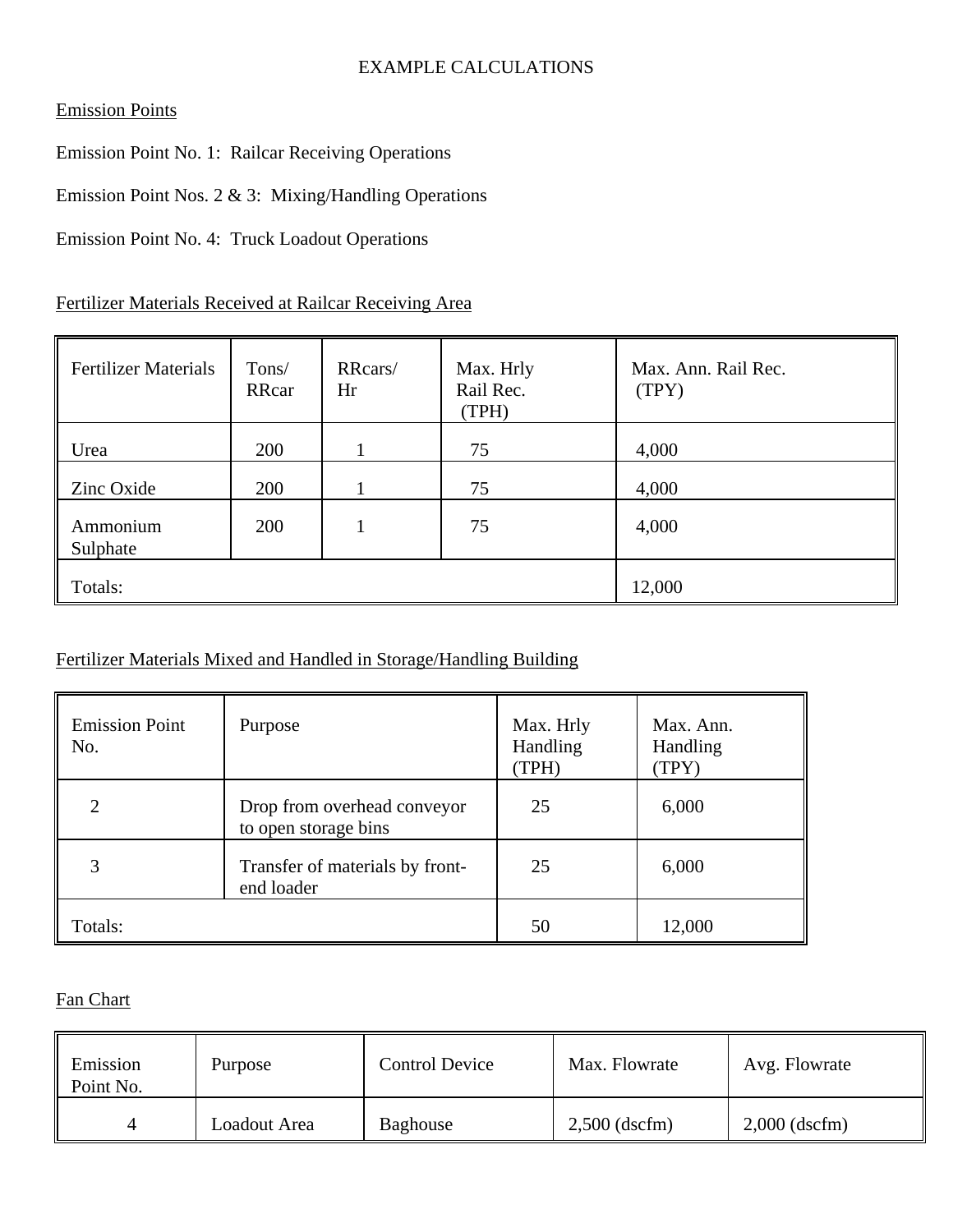## EXAMPLE CALCULATIONS

## Emission Points

Emission Point No. 1: Railcar Receiving Operations

Emission Point Nos. 2 & 3: Mixing/Handling Operations

Emission Point No. 4: Truck Loadout Operations

Fertilizer Materials Received at Railcar Receiving Area

| <b>Fertilizer Materials</b> | Tons/<br>RRcar | RRcars/<br>Hr | Max. Hrly<br>Rail Rec.<br>(TPH) | Max. Ann. Rail Rec.<br>(TPY) |
|-----------------------------|----------------|---------------|---------------------------------|------------------------------|
| Urea                        | 200            |               | 75                              | 4,000                        |
| Zinc Oxide                  | 200            |               | 75                              | 4,000                        |
| Ammonium<br>Sulphate        | 200            |               | 75                              | 4,000                        |
| Totals:                     |                |               |                                 | 12,000                       |

## Fertilizer Materials Mixed and Handled in Storage/Handling Building

| <b>Emission Point</b><br>No. | Purpose                                             | Max. Hrly<br>Handling<br>(TPH) | Max. Ann.<br>Handling<br>(TPY) |
|------------------------------|-----------------------------------------------------|--------------------------------|--------------------------------|
| 2                            | Drop from overhead conveyor<br>to open storage bins | 25                             | 6,000                          |
|                              | Transfer of materials by front-<br>end loader       | 25                             | 6,000                          |
| Totals:                      |                                                     | 50                             | 12,000                         |

## Fan Chart

| Emission<br>Point No. | Purpose      | <b>Control Device</b> | Max. Flowrate   | Avg. Flowrate   |
|-----------------------|--------------|-----------------------|-----------------|-----------------|
| $\Delta$              | Loadout Area | Baghouse              | $2,500$ (dscfm) | $2,000$ (dscfm) |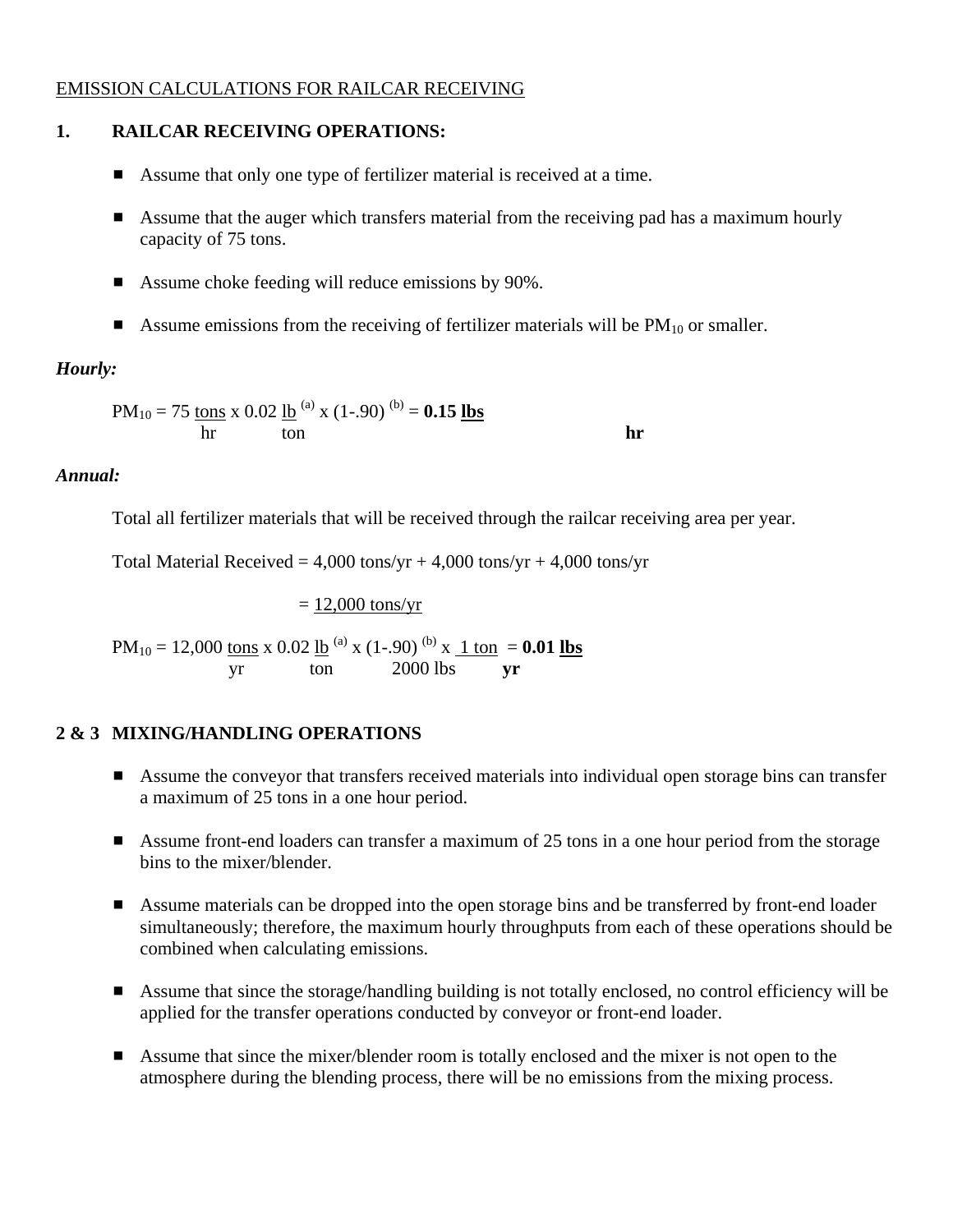### EMISSION CALCULATIONS FOR RAILCAR RECEIVING

# **1. RAILCAR RECEIVING OPERATIONS:**

- Assume that only one type of fertilizer material is received at a time.
- $\blacksquare$  Assume that the auger which transfers material from the receiving pad has a maximum hourly capacity of 75 tons.
- $\blacksquare$  Assume choke feeding will reduce emissions by 90%.
- Assume emissions from the receiving of fertilizer materials will be  $PM_{10}$  or smaller.

# *Hourly:*

$$
PM_{10} = 75 \frac{\text{tons}}{\text{hr}} \times 0.02 \frac{\text{lb}}{\text{ton}}^{\text{(a)}} \times (1-.90)^{\text{(b)}} = 0.15 \frac{\text{lbs}}{\text{lbs}}
$$

## *Annual:*

Total all fertilizer materials that will be received through the railcar receiving area per year.

Total Material Received =  $4,000$  tons/yr +  $4,000$  tons/yr +  $4,000$  tons/yr

$$
= \frac{12,000 \text{ tons/yr}}{2000 \text{ tons}} \times 0.02 \text{ lb}} \times (1-90)^{(b)} \times \frac{1 \text{ ton}}{yr} = 0.01 \text{ lbs}
$$

## **2 & 3 MIXING/HANDLING OPERATIONS**

- **EXECUTE:** Assume the conveyor that transfers received materials into individual open storage bins can transfer a maximum of 25 tons in a one hour period.
- $\blacksquare$  Assume front-end loaders can transfer a maximum of 25 tons in a one hour period from the storage bins to the mixer/blender.
- **EXECUTE:** Assume materials can be dropped into the open storage bins and be transferred by front-end loader simultaneously; therefore, the maximum hourly throughputs from each of these operations should be combined when calculating emissions.
- **EXECUTE:** Assume that since the storage/handling building is not totally enclosed, no control efficiency will be applied for the transfer operations conducted by conveyor or front-end loader.
- **EXECUTE:** Assume that since the mixer/blender room is totally enclosed and the mixer is not open to the atmosphere during the blending process, there will be no emissions from the mixing process.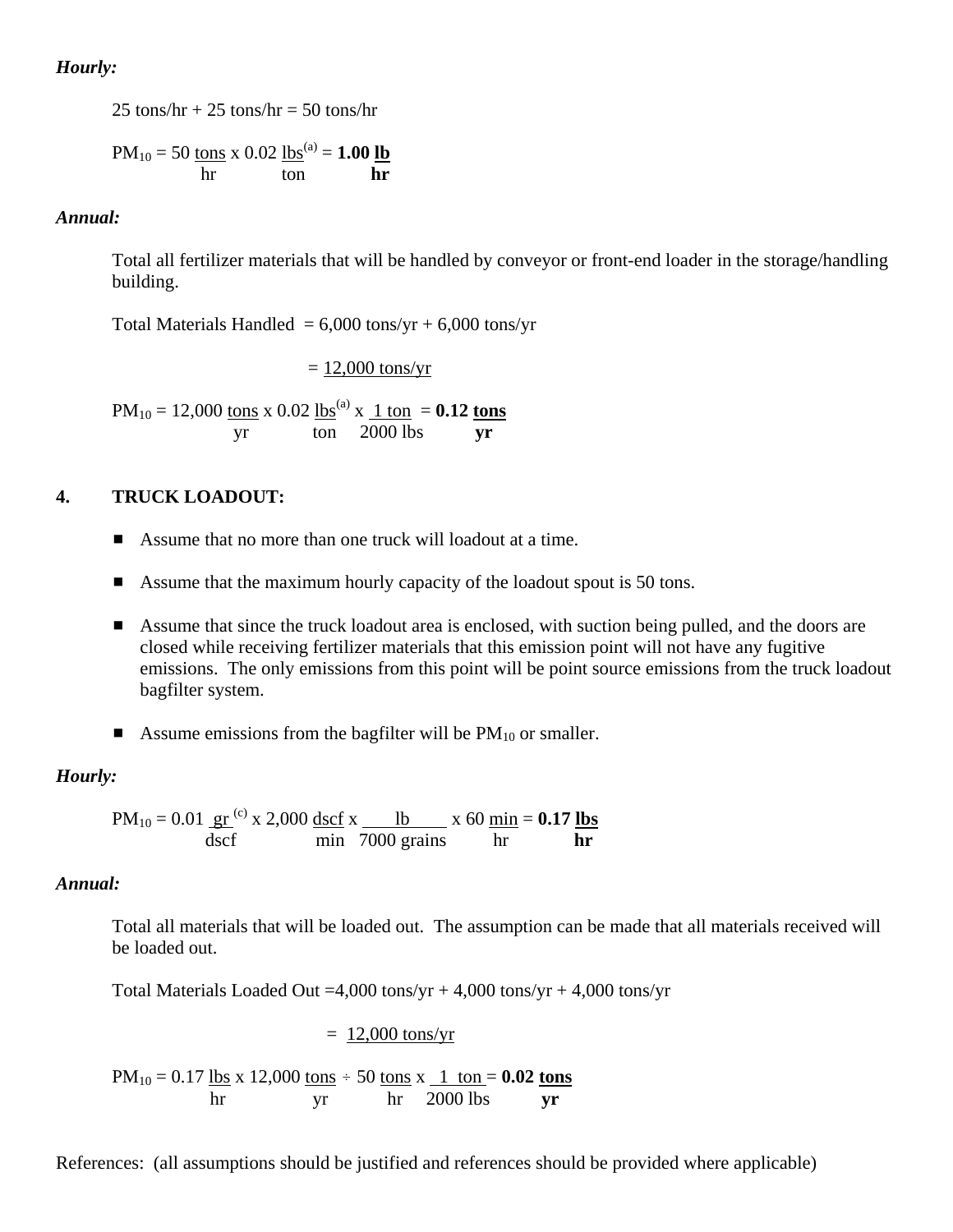### *Hourly:*

25 tons/hr  $+ 25$  tons/hr  $= 50$  tons/hr

$$
PM_{10} = 50 \frac{\text{tons}}{\text{hr}} \times 0.02 \frac{\text{lbs}}{\text{ton}}^{\text{(a)}} = 1.00 \frac{\text{lb}}{\text{hr}}
$$

### *Annual:*

Total all fertilizer materials that will be handled by conveyor or front-end loader in the storage/handling building.

Total Materials Handled =  $6,000$  tons/yr +  $6,000$  tons/yr

 $= 12,000$  tons/yr

 $PM_{10} = 12,000$  tons x 0.02 lbs<sup>(a)</sup> x 1 ton = **0.12 tons** yr ton 2000 lbs **yr** 

### **4. TRUCK LOADOUT:**

- Assume that no more than one truck will loadout at a time.
- $\blacksquare$  Assume that the maximum hourly capacity of the loadout spout is 50 tons.
- **Example 1** Assume that since the truck loadout area is enclosed, with suction being pulled, and the doors are closed while receiving fertilizer materials that this emission point will not have any fugitive emissions. The only emissions from this point will be point source emissions from the truck loadout bagfilter system.
- **E** Assume emissions from the bagfilter will be  $PM_{10}$  or smaller.

### *Hourly:*

 $PM_{10} = 0.01 \text{ gr}^{(c)}$  x 2,000 dscf x lb x 60 min = **0.17 lbs** dscf min 7000 grains hr **hr**

### *Annual:*

Total all materials that will be loaded out. The assumption can be made that all materials received will be loaded out.

Total Materials Loaded Out =4,000 tons/yr + 4,000 tons/yr + 4,000 tons/yr

 $= 12,000$  tons/yr

 $PM_{10} = 0.17$  lbs x 12,000 tons  $\div$  50 tons x  $\frac{1 \text{ ton}}{1 \text{ ton}} = 0.02$  tons hr yr hr 2000 lbs **yr** 

References: (all assumptions should be justified and references should be provided where applicable)